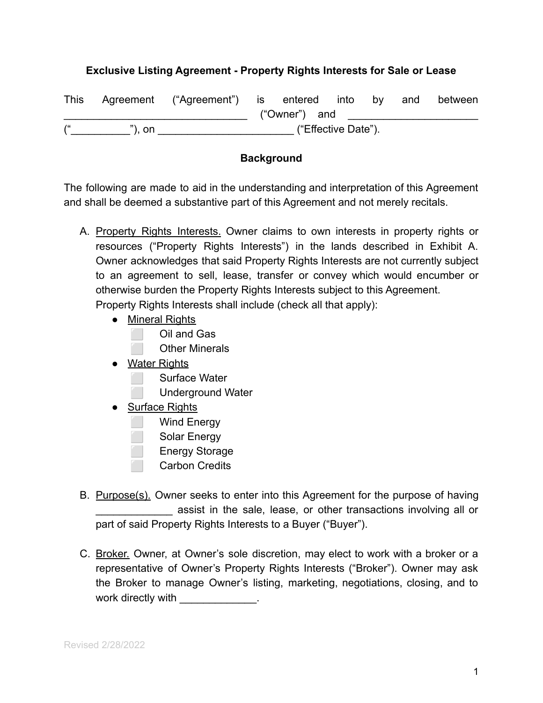## **Exclusive Listing Agreement - Property Rights Interests for Sale or Lease**

| <b>This</b>   |           | Agreement ("Agreement") is entered into |  |               |  | bv. | and | between |
|---------------|-----------|-----------------------------------------|--|---------------|--|-----|-----|---------|
|               |           |                                         |  | ("Owner") and |  |     |     |         |
| $\frac{1}{2}$ | $"$ ), on | ("Effective Date").                     |  |               |  |     |     |         |

## **Background**

The following are made to aid in the understanding and interpretation of this Agreement and shall be deemed a substantive part of this Agreement and not merely recitals.

- A. Property Rights Interests. Owner claims to own interests in property rights or resources ("Property Rights Interests") in the lands described in Exhibit A. Owner acknowledges that said Property Rights Interests are not currently subject to an agreement to sell, lease, transfer or convey which would encumber or otherwise burden the Property Rights Interests subject to this Agreement. Property Rights Interests shall include (check all that apply):
	- Mineral Rights
		- ⬜ Oil and Gas
			- **Other Minerals**
	- Water Rights

⬜ Surface Water

⬜ Underground Water

- Surface Rights
	- Wind Energy
	- Solar Energy
		- Energy Storage
	- Carbon Credits
- B. Purpose(s). Owner seeks to enter into this Agreement for the purpose of having assist in the sale, lease, or other transactions involving all or part of said Property Rights Interests to a Buyer ("Buyer").
- C. Broker. Owner, at Owner's sole discretion, may elect to work with a broker or a representative of Owner's Property Rights Interests ("Broker"). Owner may ask the Broker to manage Owner's listing, marketing, negotiations, closing, and to work directly with \_\_\_\_\_\_\_\_\_\_\_.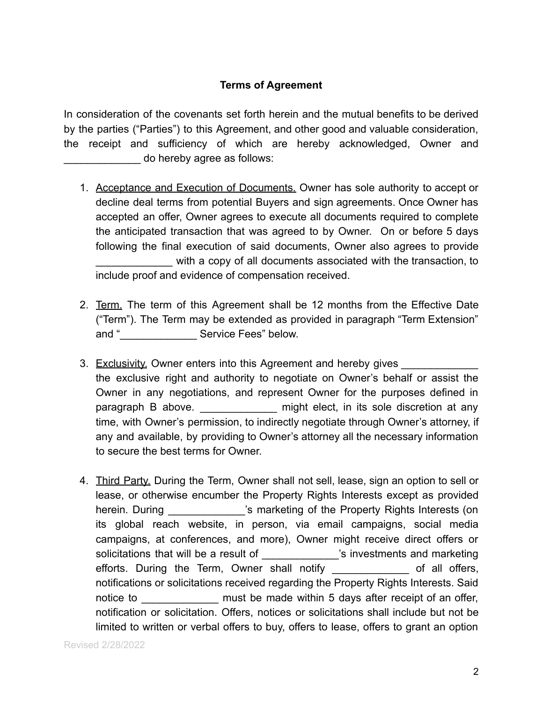## **Terms of Agreement**

In consideration of the covenants set forth herein and the mutual benefits to be derived by the parties ("Parties") to this Agreement, and other good and valuable consideration, the receipt and sufficiency of which are hereby acknowledged, Owner and do hereby agree as follows:

- 1. Acceptance and Execution of Documents. Owner has sole authority to accept or decline deal terms from potential Buyers and sign agreements. Once Owner has accepted an offer, Owner agrees to execute all documents required to complete the anticipated transaction that was agreed to by Owner. On or before 5 days following the final execution of said documents, Owner also agrees to provide with a copy of all documents associated with the transaction, to include proof and evidence of compensation received.
- 2. Term. The term of this Agreement shall be 12 months from the Effective Date ("Term"). The Term may be extended as provided in paragraph "Term Extension" and " The Service Fees" below.
- 3. Exclusivity. Owner enters into this Agreement and hereby gives the exclusive right and authority to negotiate on Owner's behalf or assist the Owner in any negotiations, and represent Owner for the purposes defined in paragraph B above. \_\_\_\_\_\_\_\_\_\_\_\_\_\_\_ might elect, in its sole discretion at any time, with Owner's permission, to indirectly negotiate through Owner's attorney, if any and available, by providing to Owner's attorney all the necessary information to secure the best terms for Owner.
- 4. Third Party. During the Term, Owner shall not sell, lease, sign an option to sell or lease, or otherwise encumber the Property Rights Interests except as provided herein. During \_\_\_\_\_\_\_\_\_\_\_\_\_\_'s marketing of the Property Rights Interests (on its global reach website, in person, via email campaigns, social media campaigns, at conferences, and more), Owner might receive direct offers or solicitations that will be a result of \_\_\_\_\_\_\_\_\_\_\_\_\_'s investments and marketing efforts. During the Term, Owner shall notify entity of all offers, notifications or solicitations received regarding the Property Rights Interests. Said notice to \_\_\_\_\_\_\_\_\_\_\_\_\_\_\_ must be made within 5 days after receipt of an offer, notification or solicitation. Offers, notices or solicitations shall include but not be limited to written or verbal offers to buy, offers to lease, offers to grant an option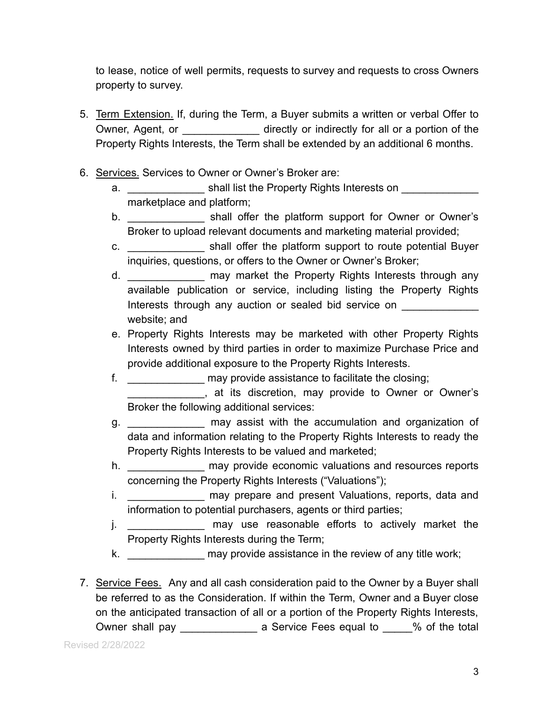to lease, notice of well permits, requests to survey and requests to cross Owners property to survey.

- 5. Term Extension. If, during the Term, a Buyer submits a written or verbal Offer to Owner, Agent, or **Example 20** directly or indirectly for all or a portion of the Property Rights Interests, the Term shall be extended by an additional 6 months.
- 6. Services. Services to Owner or Owner's Broker are:
	- a. The Shall list the Property Rights Interests on  $\mathbf{a}$ marketplace and platform;
	- b. \_\_\_\_\_\_\_\_\_\_\_\_\_\_\_\_ shall offer the platform support for Owner or Owner's Broker to upload relevant documents and marketing material provided;
	- c. \_\_\_\_\_\_\_\_\_\_\_\_\_ shall offer the platform support to route potential Buyer inquiries, questions, or offers to the Owner or Owner's Broker;
	- d. **Example 20** may market the Property Rights Interests through any available publication or service, including listing the Property Rights Interests through any auction or sealed bid service on website; and
	- e. Property Rights Interests may be marketed with other Property Rights Interests owned by third parties in order to maximize Purchase Price and provide additional exposure to the Property Rights Interests.
	- f. \_\_\_\_\_\_\_\_\_\_\_\_\_ may provide assistance to facilitate the closing;
		- \_\_\_\_\_\_\_\_\_\_\_\_\_, at its discretion, may provide to Owner or Owner's Broker the following additional services:
	- g. \_\_\_\_\_\_\_\_\_\_\_\_\_\_\_ may assist with the accumulation and organization of data and information relating to the Property Rights Interests to ready the Property Rights Interests to be valued and marketed;
	- h. **Example 20 may provide economic valuations and resources reports** concerning the Property Rights Interests ("Valuations");
	- i. **Example 20 may prepare and present Valuations, reports, data and** information to potential purchasers, agents or third parties;
	- j. \_\_\_\_\_\_\_\_\_\_\_\_\_\_\_\_ may use reasonable efforts to actively market the Property Rights Interests during the Term;
	- k. **Example 20** may provide assistance in the review of any title work;
- 7. Service Fees. Any and all cash consideration paid to the Owner by a Buyer shall be referred to as the Consideration. If within the Term, Owner and a Buyer close on the anticipated transaction of all or a portion of the Property Rights Interests, Owner shall pay \_\_\_\_\_\_\_\_\_\_\_\_\_\_\_\_ a Service Fees equal to \_\_\_\_\_% of the total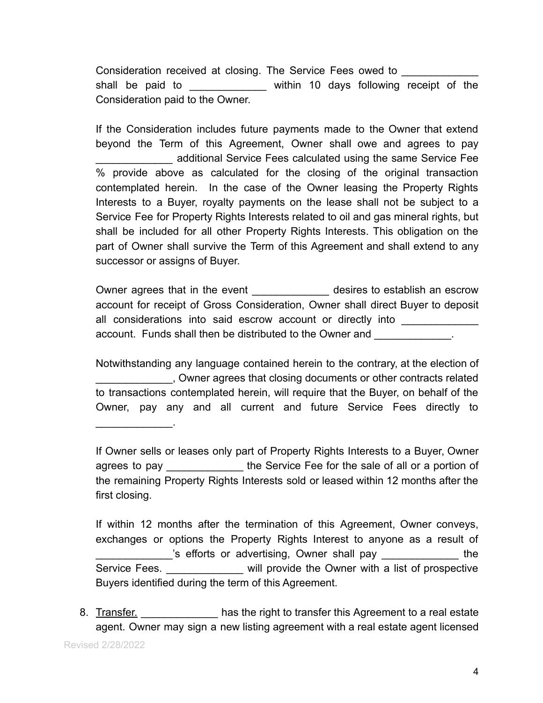Consideration received at closing. The Service Fees owed to shall be paid to **within 10 days following receipt of the** Consideration paid to the Owner.

If the Consideration includes future payments made to the Owner that extend beyond the Term of this Agreement, Owner shall owe and agrees to pay \_\_\_\_\_\_\_\_\_\_\_\_\_ additional Service Fees calculated using the same Service Fee % provide above as calculated for the closing of the original transaction contemplated herein. In the case of the Owner leasing the Property Rights Interests to a Buyer, royalty payments on the lease shall not be subject to a Service Fee for Property Rights Interests related to oil and gas mineral rights, but shall be included for all other Property Rights Interests. This obligation on the part of Owner shall survive the Term of this Agreement and shall extend to any successor or assigns of Buyer.

Owner agrees that in the event \_\_\_\_\_\_\_\_\_\_\_\_\_\_\_\_ desires to establish an escrow account for receipt of Gross Consideration, Owner shall direct Buyer to deposit all considerations into said escrow account or directly into account. Funds shall then be distributed to the Owner and  $\qquad \qquad$ .

Notwithstanding any language contained herein to the contrary, at the election of \_\_\_\_\_\_\_\_\_\_\_\_\_, Owner agrees that closing documents or other contracts related to transactions contemplated herein, will require that the Buyer, on behalf of the Owner, pay any and all current and future Service Fees directly to

If Owner sells or leases only part of Property Rights Interests to a Buyer, Owner agrees to pay denote the Service Fee for the sale of all or a portion of the remaining Property Rights Interests sold or leased within 12 months after the first closing.

If within 12 months after the termination of this Agreement, Owner conveys, exchanges or options the Property Rights Interest to anyone as a result of 's efforts or advertising, Owner shall pay but the Service Fees. \_\_\_\_\_\_\_\_\_\_\_\_\_\_\_\_\_\_ will provide the Owner with a list of prospective Buyers identified during the term of this Agreement.

8. Transfer. **Example 20** has the right to transfer this Agreement to a real estate agent. Owner may sign a new listing agreement with a real estate agent licensed

 $\mathcal{L}_\text{max}$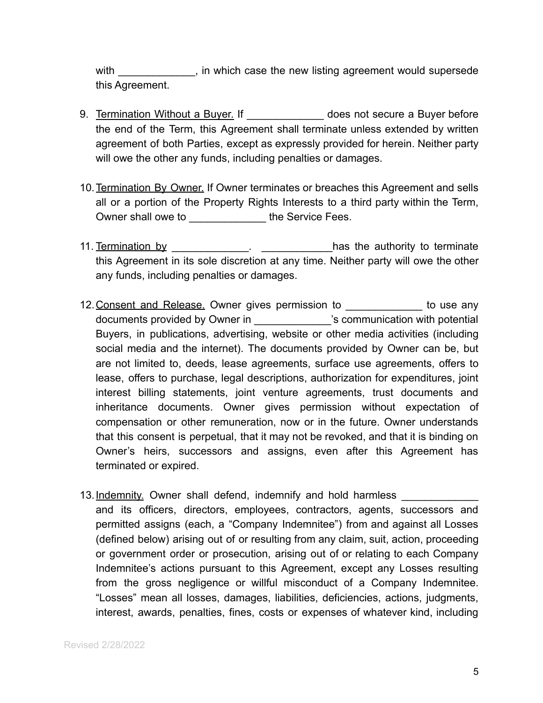with \_\_\_\_\_\_\_\_\_\_\_\_\_, in which case the new listing agreement would supersede this Agreement.

- 9. Termination Without a Buyer. If does not secure a Buyer before the end of the Term, this Agreement shall terminate unless extended by written agreement of both Parties, except as expressly provided for herein. Neither party will owe the other any funds, including penalties or damages.
- 10. Termination By Owner. If Owner terminates or breaches this Agreement and sells all or a portion of the Property Rights Interests to a third party within the Term, Owner shall owe to \_\_\_\_\_\_\_\_\_\_\_\_\_\_\_\_the Service Fees.
- 11. Termination by \_\_\_\_\_\_\_\_\_\_\_\_\_. \_\_\_\_\_\_\_\_\_\_\_\_\_\_has the authority to terminate this Agreement in its sole discretion at any time. Neither party will owe the other any funds, including penalties or damages.
- 12. Consent and Release. Owner gives permission to the use any documents provided by Owner in Theorem 2013 is communication with potential Buyers, in publications, advertising, website or other media activities (including social media and the internet). The documents provided by Owner can be, but are not limited to, deeds, lease agreements, surface use agreements, offers to lease, offers to purchase, legal descriptions, authorization for expenditures, joint interest billing statements, joint venture agreements, trust documents and inheritance documents. Owner gives permission without expectation of compensation or other remuneration, now or in the future. Owner understands that this consent is perpetual, that it may not be revoked, and that it is binding on Owner's heirs, successors and assigns, even after this Agreement has terminated or expired.
- 13. Indemnity. Owner shall defend, indemnify and hold harmless and its officers, directors, employees, contractors, agents, successors and permitted assigns (each, a "Company Indemnitee") from and against all Losses (defined below) arising out of or resulting from any claim, suit, action, proceeding or government order or prosecution, arising out of or relating to each Company Indemnitee's actions pursuant to this Agreement, except any Losses resulting from the gross negligence or willful misconduct of a Company Indemnitee. "Losses" mean all losses, damages, liabilities, deficiencies, actions, judgments, interest, awards, penalties, fines, costs or expenses of whatever kind, including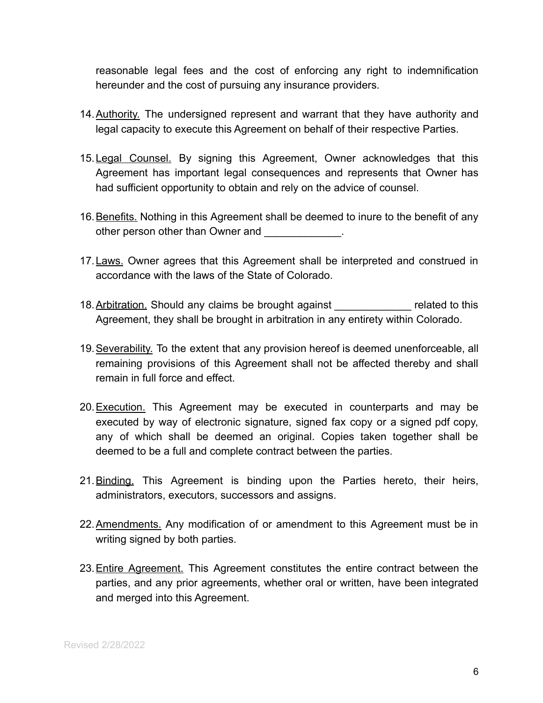reasonable legal fees and the cost of enforcing any right to indemnification hereunder and the cost of pursuing any insurance providers.

- 14.Authority. The undersigned represent and warrant that they have authority and legal capacity to execute this Agreement on behalf of their respective Parties.
- 15.Legal Counsel. By signing this Agreement, Owner acknowledges that this Agreement has important legal consequences and represents that Owner has had sufficient opportunity to obtain and rely on the advice of counsel.
- 16. Benefits. Nothing in this Agreement shall be deemed to inure to the benefit of any other person other than Owner and **EXALC** 2011 11
- 17. Laws. Owner agrees that this Agreement shall be interpreted and construed in accordance with the laws of the State of Colorado.
- 18. Arbitration. Should any claims be brought against The metated to this Agreement, they shall be brought in arbitration in any entirety within Colorado.
- 19.Severability. To the extent that any provision hereof is deemed unenforceable, all remaining provisions of this Agreement shall not be affected thereby and shall remain in full force and effect.
- 20.Execution. This Agreement may be executed in counterparts and may be executed by way of electronic signature, signed fax copy or a signed pdf copy, any of which shall be deemed an original. Copies taken together shall be deemed to be a full and complete contract between the parties.
- 21. Binding. This Agreement is binding upon the Parties hereto, their heirs, administrators, executors, successors and assigns.
- 22.Amendments. Any modification of or amendment to this Agreement must be in writing signed by both parties.
- 23.Entire Agreement. This Agreement constitutes the entire contract between the parties, and any prior agreements, whether oral or written, have been integrated and merged into this Agreement.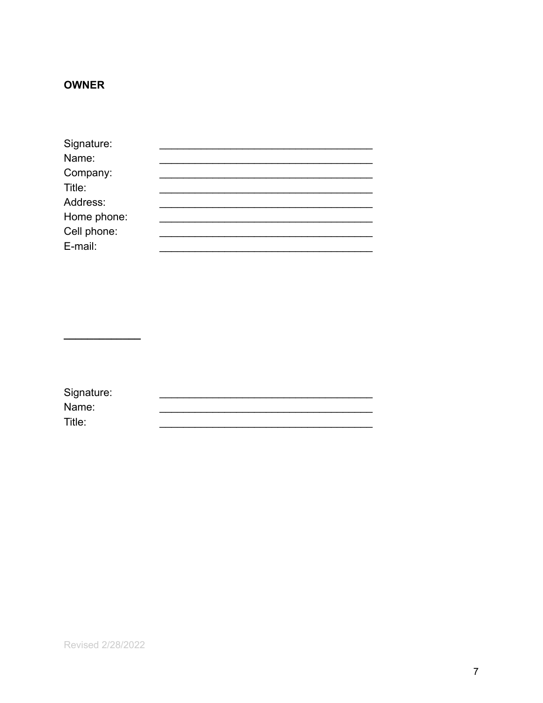## **OWNER**

| Signature:<br>Name: |  |
|---------------------|--|
|                     |  |
| Company:            |  |
| Title:              |  |
| Address:            |  |
| Home phone:         |  |
| Cell phone:         |  |
| E-mail:             |  |

Signature: Name: Title: